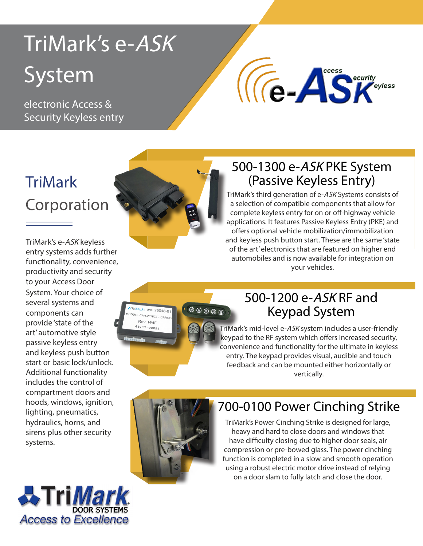# TriMark's e-ASK System

electronic Access & Security Keyless entry

# $\sqrt{\epsilon}$ -Assemity

# **TriMark** Corporation

TriMark's e-ASK keyless entry systems adds further functionality, convenience, productivity and security to your Access Door hydraulics, horns, and sirens plus other security systems. System. Your choice of several systems and components can provide 'state of the art' automotive style passive keyless entry and keyless push button start or basic lock/unlock. Additional functionality includes the control of compartment doors and hoods, windows, ignition, lighting, pneumatics,





#### 500-1300 e-ASK PKE System (Passive Keyless Entry)

TriMark's third generation of e-ASK Systems consists of a selection of compatible components that allow for complete keyless entry for on or off-highway vehicle applications. It features Passive Keyless Entry (PKE) and offers optional vehicle mobilization/immobilization and keyless push button start. These are the same 'state of the art' electronics that are featured on higher end automobiles and is now available for integration on your vehicles.



#### 500-1200 e-ASK RF and Keypad System

TriMark's mid-level e-ASK system includes a user-friendly keypad to the RF system which offers increased security, convenience and functionality for the ultimate in keyless entry. The keypad provides visual, audible and touch feedback and can be mounted either horizontally or vertically.



## 700-0100 Power Cinching Strike

TriMark's Power Cinching Strike is designed for large, heavy and hard to close doors and windows that have difficulty closing due to higher door seals, air compression or pre-bowed glass. The power cinching function is completed in a slow and smooth operation using a robust electric motor drive instead of relying on a door slam to fully latch and close the door.